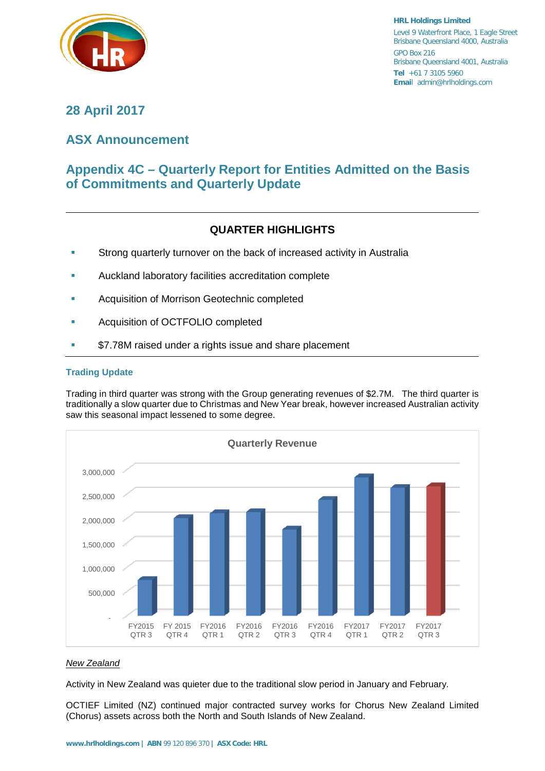

**HRL Holdings Limited** Level 9 Waterfront Place, 1 Eagle Street Brisbane Queensland 4000, Australia GPO Box 216 Brisbane Queensland 4001, Australia **Tel** +61 7 3105 5960 **Emai**l admin@hrlholdings.com

## **28 April 2017**

# **ASX Announcement**

# **Appendix 4C – Quarterly Report for Entities Admitted on the Basis of Commitments and Quarterly Update**

### **QUARTER HIGHLIGHTS**

- **Strong quarterly turnover on the back of increased activity in Australia**
- **Auckland laboratory facilities accreditation complete**
- Acquisition of Morrison Geotechnic completed
- Acquisition of OCTFOLIO completed
- \$7.78M raised under a rights issue and share placement

#### **Trading Update**

Trading in third quarter was strong with the Group generating revenues of \$2.7M. The third quarter is traditionally a slow quarter due to Christmas and New Year break, however increased Australian activity saw this seasonal impact lessened to some degree.



#### *New Zealand*

Activity in New Zealand was quieter due to the traditional slow period in January and February.

OCTIEF Limited (NZ) continued major contracted survey works for Chorus New Zealand Limited (Chorus) assets across both the North and South Islands of New Zealand.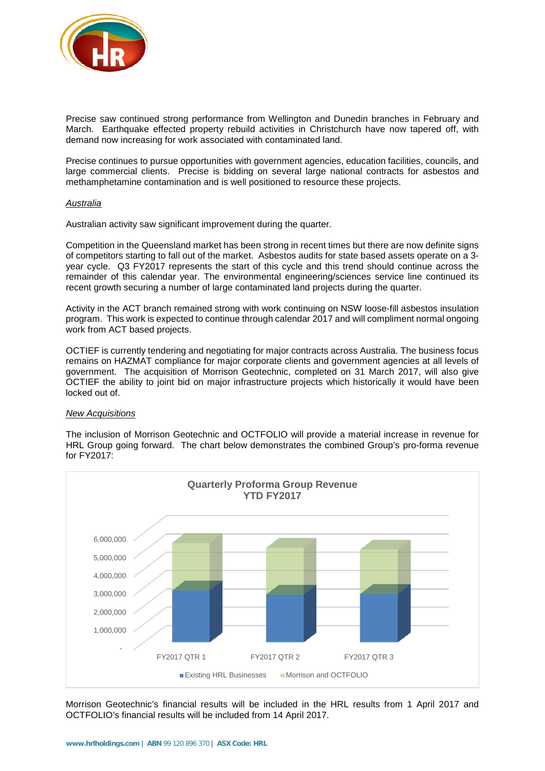

Precise saw continued strong performance from Wellington and Dunedin branches in February and March. Earthquake effected property rebuild activities in Christchurch have now tapered off, with demand now increasing for work associated with contaminated land.

Precise continues to pursue opportunities with government agencies, education facilities, councils, and large commercial clients. Precise is bidding on several large national contracts for asbestos and methamphetamine contamination and is well positioned to resource these projects.

#### *Australia*

Australian activity saw significant improvement during the quarter.

Competition in the Queensland market has been strong in recent times but there are now definite signs of competitors starting to fall out of the market. Asbestos audits for state based assets operate on a 3 year cycle. Q3 FY2017 represents the start of this cycle and this trend should continue across the remainder of this calendar year. The environmental engineering/sciences service line continued its recent growth securing a number of large contaminated land projects during the quarter.

Activity in the ACT branch remained strong with work continuing on NSW loose-fill asbestos insulation program. This work is expected to continue through calendar 2017 and will compliment normal ongoing work from ACT based projects.

OCTIEF is currently tendering and negotiating for major contracts across Australia. The business focus remains on HAZMAT compliance for major corporate clients and government agencies at all levels of government. The acquisition of Morrison Geotechnic, completed on 31 March 2017, will also give OCTIEF the ability to joint bid on major infrastructure projects which historically it would have been locked out of.

#### *New Acquisitions*

The inclusion of Morrison Geotechnic and OCTFOLIO will provide a material increase in revenue for HRL Group going forward. The chart below demonstrates the combined Group's pro-forma revenue for FY2017:



Morrison Geotechnic's financial results will be included in the HRL results from 1 April 2017 and OCTFOLIO's financial results will be included from 14 April 2017.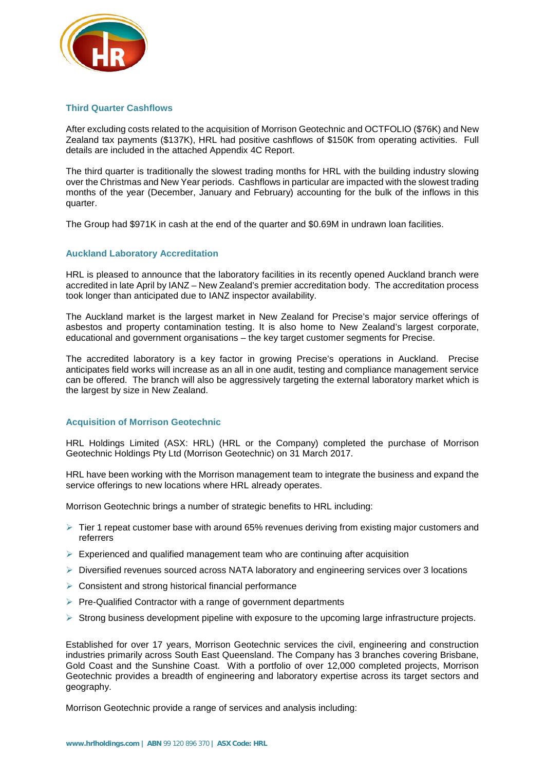

#### **Third Quarter Cashflows**

After excluding costs related to the acquisition of Morrison Geotechnic and OCTFOLIO (\$76K) and New Zealand tax payments (\$137K), HRL had positive cashflows of \$150K from operating activities. Full details are included in the attached Appendix 4C Report.

The third quarter is traditionally the slowest trading months for HRL with the building industry slowing over the Christmas and New Year periods. Cashflows in particular are impacted with the slowest trading months of the year (December, January and February) accounting for the bulk of the inflows in this quarter.

The Group had \$971K in cash at the end of the quarter and \$0.69M in undrawn loan facilities.

#### **Auckland Laboratory Accreditation**

HRL is pleased to announce that the laboratory facilities in its recently opened Auckland branch were accredited in late April by IANZ – New Zealand's premier accreditation body. The accreditation process took longer than anticipated due to IANZ inspector availability.

The Auckland market is the largest market in New Zealand for Precise's major service offerings of asbestos and property contamination testing. It is also home to New Zealand's largest corporate, educational and government organisations – the key target customer segments for Precise.

The accredited laboratory is a key factor in growing Precise's operations in Auckland. Precise anticipates field works will increase as an all in one audit, testing and compliance management service can be offered. The branch will also be aggressively targeting the external laboratory market which is the largest by size in New Zealand.

#### **Acquisition of Morrison Geotechnic**

HRL Holdings Limited (ASX: HRL) (HRL or the Company) completed the purchase of Morrison Geotechnic Holdings Pty Ltd (Morrison Geotechnic) on 31 March 2017.

HRL have been working with the Morrison management team to integrate the business and expand the service offerings to new locations where HRL already operates.

Morrison Geotechnic brings a number of strategic benefits to HRL including:

- $\geq$  Tier 1 repeat customer base with around 65% revenues deriving from existing major customers and referrers
- $\triangleright$  Experienced and qualified management team who are continuing after acquisition
- $\triangleright$  Diversified revenues sourced across NATA laboratory and engineering services over 3 locations
- $\triangleright$  Consistent and strong historical financial performance
- $\triangleright$  Pre-Qualified Contractor with a range of government departments
- $\triangleright$  Strong business development pipeline with exposure to the upcoming large infrastructure projects.

Established for over 17 years, Morrison Geotechnic services the civil, engineering and construction industries primarily across South East Queensland. The Company has 3 branches covering Brisbane, Gold Coast and the Sunshine Coast. With a portfolio of over 12,000 completed projects, Morrison Geotechnic provides a breadth of engineering and laboratory expertise across its target sectors and geography.

Morrison Geotechnic provide a range of services and analysis including: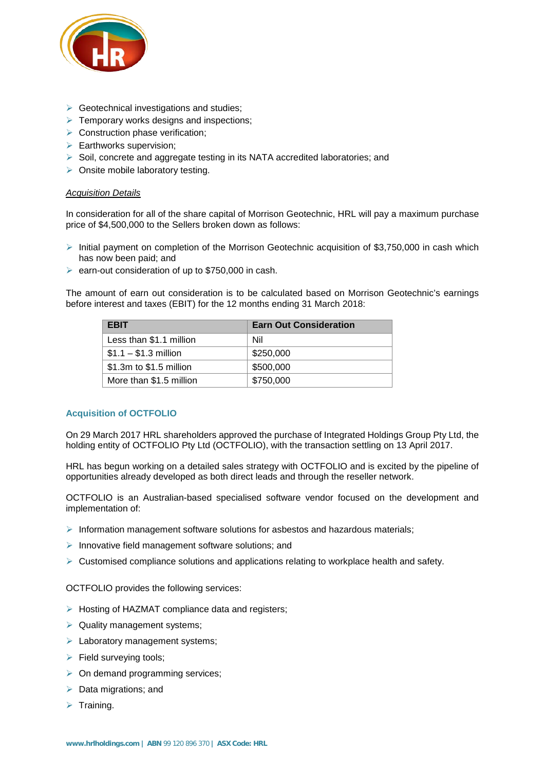

- $\triangleright$  Geotechnical investigations and studies:
- $\triangleright$  Temporary works designs and inspections:
- $\triangleright$  Construction phase verification;
- $\triangleright$  Earthworks supervision;
- Soil, concrete and aggregate testing in its NATA accredited laboratories; and
- $\triangleright$  Onsite mobile laboratory testing.

#### *Acquisition Details*

In consideration for all of the share capital of Morrison Geotechnic, HRL will pay a maximum purchase price of \$4,500,000 to the Sellers broken down as follows:

- $\triangleright$  Initial payment on completion of the Morrison Geotechnic acquisition of \$3,750,000 in cash which has now been paid; and
- $\ge$  earn-out consideration of up to \$750,000 in cash.

The amount of earn out consideration is to be calculated based on Morrison Geotechnic's earnings before interest and taxes (EBIT) for the 12 months ending 31 March 2018:

| <b>EBIT</b>             | <b>Earn Out Consideration</b> |
|-------------------------|-------------------------------|
| Less than \$1.1 million | Nil                           |
| $$1.1 - $1.3$ million   | \$250,000                     |
| \$1.3m to \$1.5 million | \$500,000                     |
| More than \$1.5 million | \$750,000                     |

#### **Acquisition of OCTFOLIO**

On 29 March 2017 HRL shareholders approved the purchase of Integrated Holdings Group Pty Ltd, the holding entity of OCTFOLIO Pty Ltd (OCTFOLIO), with the transaction settling on 13 April 2017.

HRL has begun working on a detailed sales strategy with OCTFOLIO and is excited by the pipeline of opportunities already developed as both direct leads and through the reseller network.

OCTFOLIO is an Australian-based specialised software vendor focused on the development and implementation of:

- $\triangleright$  Information management software solutions for asbestos and hazardous materials;
- $\triangleright$  Innovative field management software solutions; and
- $\triangleright$  Customised compliance solutions and applications relating to workplace health and safety.

OCTFOLIO provides the following services:

- $\triangleright$  Hosting of HAZMAT compliance data and registers;
- $\triangleright$  Quality management systems;
- $\triangleright$  Laboratory management systems;
- $\triangleright$  Field surveying tools;
- $\triangleright$  On demand programming services;
- $\triangleright$  Data migrations; and
- $\triangleright$  Training.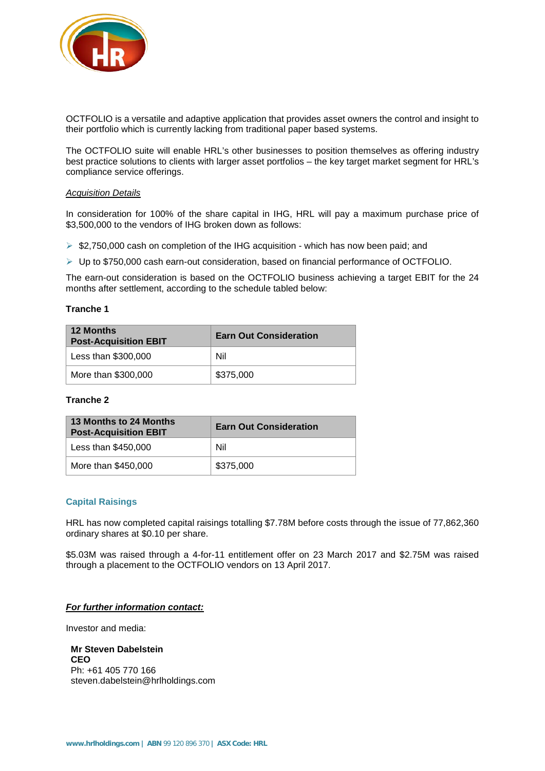

OCTFOLIO is a versatile and adaptive application that provides asset owners the control and insight to their portfolio which is currently lacking from traditional paper based systems.

The OCTFOLIO suite will enable HRL's other businesses to position themselves as offering industry best practice solutions to clients with larger asset portfolios – the key target market segment for HRL's compliance service offerings.

#### *Acquisition Details*

In consideration for 100% of the share capital in IHG, HRL will pay a maximum purchase price of \$3,500,000 to the vendors of IHG broken down as follows:

 $\triangleright$  \$2,750,000 cash on completion of the IHG acquisition - which has now been paid; and

Up to \$750,000 cash earn-out consideration, based on financial performance of OCTFOLIO.

The earn-out consideration is based on the OCTFOLIO business achieving a target EBIT for the 24 months after settlement, according to the schedule tabled below:

#### **Tranche 1**

| <b>12 Months</b><br><b>Post-Acquisition EBIT</b> | <b>Earn Out Consideration</b> |
|--------------------------------------------------|-------------------------------|
| Less than \$300,000                              | Nil                           |
| More than \$300,000                              | \$375,000                     |

#### **Tranche 2**

| 13 Months to 24 Months<br><b>Post-Acquisition EBIT</b> | <b>Earn Out Consideration</b> |
|--------------------------------------------------------|-------------------------------|
| Less than \$450,000                                    | Nil                           |
| More than \$450,000                                    | \$375,000                     |

#### **Capital Raisings**

HRL has now completed capital raisings totalling \$7.78M before costs through the issue of 77,862,360 ordinary shares at \$0.10 per share.

\$5.03M was raised through a 4-for-11 entitlement offer on 23 March 2017 and \$2.75M was raised through a placement to the OCTFOLIO vendors on 13 April 2017.

#### *For further information contact:*

Investor and media:

**Mr Steven Dabelstein CEO** Ph: +61 405 770 166 steven.dabelstein@hrlholdings.com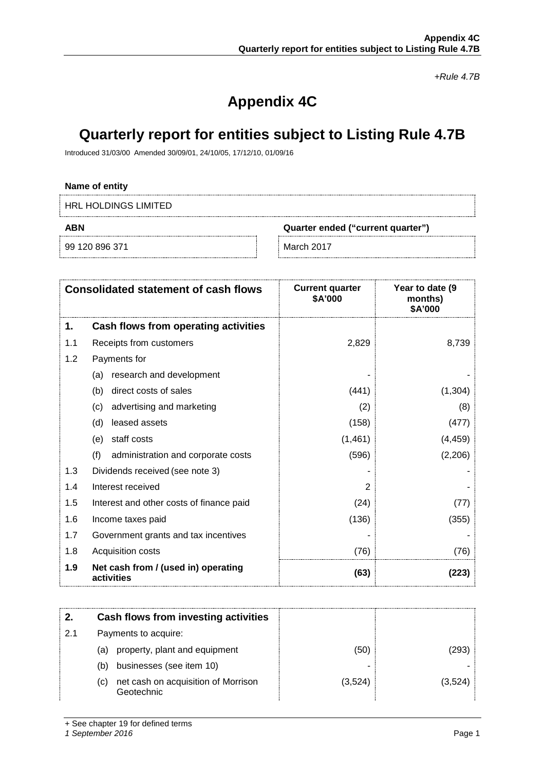*+Rule 4.7B*

# **Appendix 4C**

# **Quarterly report for entities subject to Listing Rule 4.7B**

Introduced 31/03/00 Amended 30/09/01, 24/10/05, 17/12/10, 01/09/16

#### **Name of entity**

HRL HOLDINGS LIMITED

99 120 896 371 March 2017

**ABN Quarter ended ("current quarter")**

|     | <b>Consolidated statement of cash flows</b>       | <b>Current quarter</b><br>\$A'000 | Year to date (9<br>months)<br>\$A'000 |
|-----|---------------------------------------------------|-----------------------------------|---------------------------------------|
| 1.  | Cash flows from operating activities              |                                   |                                       |
| 1.1 | Receipts from customers                           | 2,829                             | 8,739                                 |
| 1.2 | Payments for                                      |                                   |                                       |
|     | research and development<br>(a)                   |                                   |                                       |
|     | direct costs of sales<br>(b)                      | (441)                             | (1, 304)                              |
|     | advertising and marketing<br>(c)                  | (2)                               | (8)                                   |
|     | leased assets<br>(d)                              | (158)                             | (477)                                 |
|     | staff costs<br>(e)                                | (1,461)                           | (4, 459)                              |
|     | (f)<br>administration and corporate costs         | (596)                             | (2,206)                               |
| 1.3 | Dividends received (see note 3)                   |                                   |                                       |
| 1.4 | Interest received                                 | 2                                 |                                       |
| 1.5 | Interest and other costs of finance paid          | (24)                              | (77)                                  |
| 1.6 | Income taxes paid                                 | (136)                             | (355)                                 |
| 1.7 | Government grants and tax incentives              |                                   |                                       |
| 1.8 | Acquisition costs                                 | (76)                              | (76)                                  |
| 1.9 | Net cash from / (used in) operating<br>activities | (63)                              | (223)                                 |

|    | Cash flows from investing activities                     |         |         |
|----|----------------------------------------------------------|---------|---------|
| 21 | Payments to acquire:                                     |         |         |
|    | property, plant and equipment<br>(a)                     | (50)    | (293)   |
|    | businesses (see item 10)<br>(b)                          |         |         |
|    | net cash on acquisition of Morrison<br>(c)<br>Geotechnic | (3,524) | (3,524) |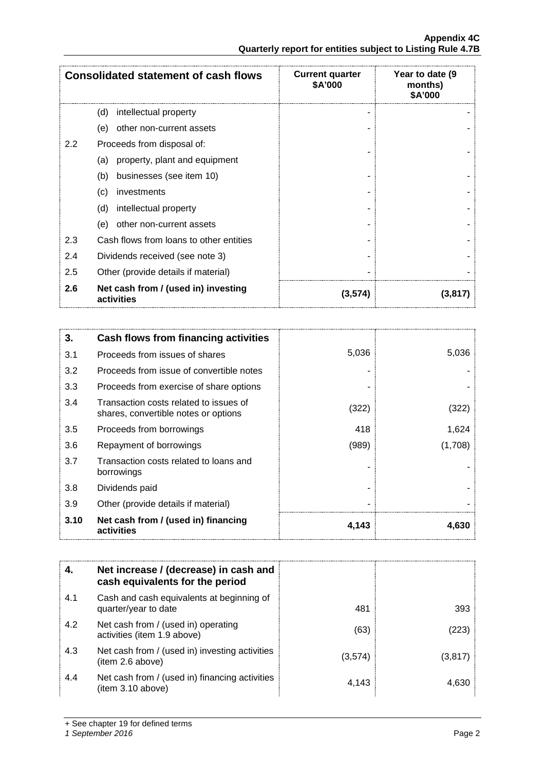|     | <b>Consolidated statement of cash flows</b>       | <b>Current quarter</b><br>\$A'000 | Year to date (9)<br>months)<br>\$A'000 |
|-----|---------------------------------------------------|-----------------------------------|----------------------------------------|
|     | (d)<br>intellectual property                      |                                   |                                        |
|     | other non-current assets<br>(e)                   |                                   |                                        |
| 2.2 | Proceeds from disposal of:                        |                                   |                                        |
|     | property, plant and equipment<br>(a)              |                                   |                                        |
|     | (b)<br>businesses (see item 10)                   |                                   |                                        |
|     | (c)<br>investments                                |                                   |                                        |
|     | (d)<br>intellectual property                      |                                   |                                        |
|     | (e)<br>other non-current assets                   |                                   |                                        |
| 2.3 | Cash flows from loans to other entities           |                                   |                                        |
| 2.4 | Dividends received (see note 3)                   |                                   |                                        |
| 2.5 | Other (provide details if material)               |                                   |                                        |
| 2.6 | Net cash from / (used in) investing<br>activities | (3,574)                           | (3,817)                                |

| 3.   | Cash flows from financing activities                                           |       |         |
|------|--------------------------------------------------------------------------------|-------|---------|
| 3.1  | Proceeds from issues of shares                                                 | 5,036 | 5,036   |
| 3.2  | Proceeds from issue of convertible notes                                       |       |         |
| 3.3  | Proceeds from exercise of share options                                        |       |         |
| 3.4  | Transaction costs related to issues of<br>shares, convertible notes or options | (322) | (322)   |
| 3.5  | Proceeds from borrowings                                                       | 418   | 1,624   |
| 3.6  | Repayment of borrowings                                                        | (989) | (1,708) |
| 3.7  | Transaction costs related to loans and<br>borrowings                           |       |         |
| 3.8  | Dividends paid                                                                 |       |         |
| 3.9  | Other (provide details if material)                                            |       |         |
| 3.10 | Net cash from / (used in) financing<br>activities                              | 4.143 | 4,630   |

| 4.  | Net increase / (decrease) in cash and<br>cash equivalents for the period |         |         |
|-----|--------------------------------------------------------------------------|---------|---------|
| 4.1 | Cash and cash equivalents at beginning of<br>quarter/year to date        | 481     | 393     |
| 4.2 | Net cash from / (used in) operating<br>activities (item 1.9 above)       | (63)    | (223)   |
| 4.3 | Net cash from / (used in) investing activities<br>(item 2.6 above)       | (3,574) | (3,817) |
| 4.4 | Net cash from / (used in) financing activities<br>(item 3.10 above)      | 4.143   | 4.630   |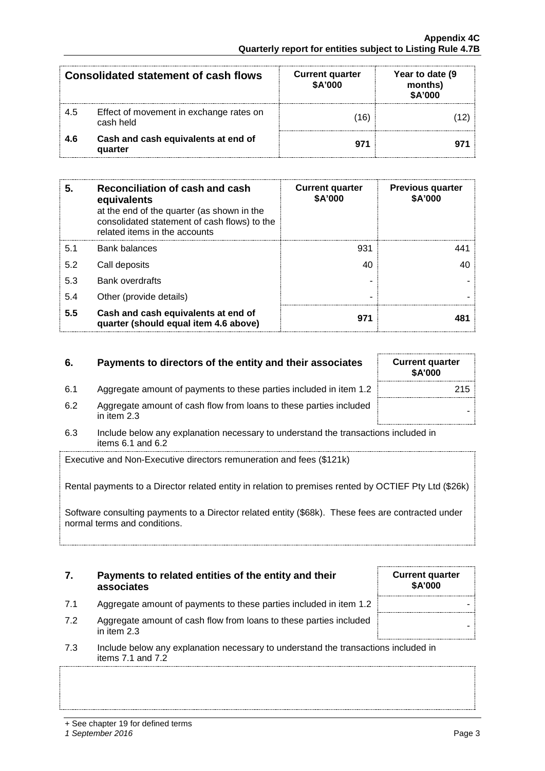|     | <b>Consolidated statement of cash flows</b>          | <b>Current quarter</b><br>\$A'000 | Year to date (9)<br>months)<br>\$A'000 |
|-----|------------------------------------------------------|-----------------------------------|----------------------------------------|
| 4.5 | Effect of movement in exchange rates on<br>cash held | 16)                               |                                        |
| 4.6 | Cash and cash equivalents at end of<br>quarter       | 971                               |                                        |

| 5.  | Reconciliation of cash and cash<br>equivalents<br>at the end of the quarter (as shown in the<br>consolidated statement of cash flows) to the<br>related items in the accounts | <b>Current quarter</b><br>\$A'000 | <b>Previous quarter</b><br>\$A'000 |
|-----|-------------------------------------------------------------------------------------------------------------------------------------------------------------------------------|-----------------------------------|------------------------------------|
| 5.1 | Bank balances                                                                                                                                                                 | 931                               |                                    |
| 5.2 | Call deposits                                                                                                                                                                 | 40                                |                                    |
| 5.3 | <b>Bank overdrafts</b>                                                                                                                                                        |                                   |                                    |
| 5.4 | Other (provide details)                                                                                                                                                       |                                   |                                    |
| 5.5 | Cash and cash equivalents at end of<br>quarter (should equal item 4.6 above)                                                                                                  | 971                               |                                    |

### **6. Payments to directors of the entity and their associates Current quarterally**

- 6.1 Aggregate amount of payments to these parties included in item 1.2
- 6.2 Aggregate amount of cash flow from loans to these parties included in them 2.3
- 6.3 Include below any explanation necessary to understand the transactions included in items 6.1 and 6.2

Executive and Non-Executive directors remuneration and fees (\$121k)

Rental payments to a Director related entity in relation to premises rented by OCTIEF Pty Ltd (\$26k)

Software consulting payments to a Director related entity (\$68k). These fees are contracted under normal terms and conditions.

#### **7. Payments to related entities of the entity and their associates**

- 7.1 Aggregate amount of payments to these parties included in item 1.2 |
- 7.2 Aggregate amount of cash flow from loans to these parties included in them 2.3
- 7.3 Include below any explanation necessary to understand the transactions included in items 7.1 and 7.2

| <b>Current quarter</b><br><b>\$A'000</b> |  |
|------------------------------------------|--|
| 215                                      |  |
|                                          |  |

**Current quarter \$A'000**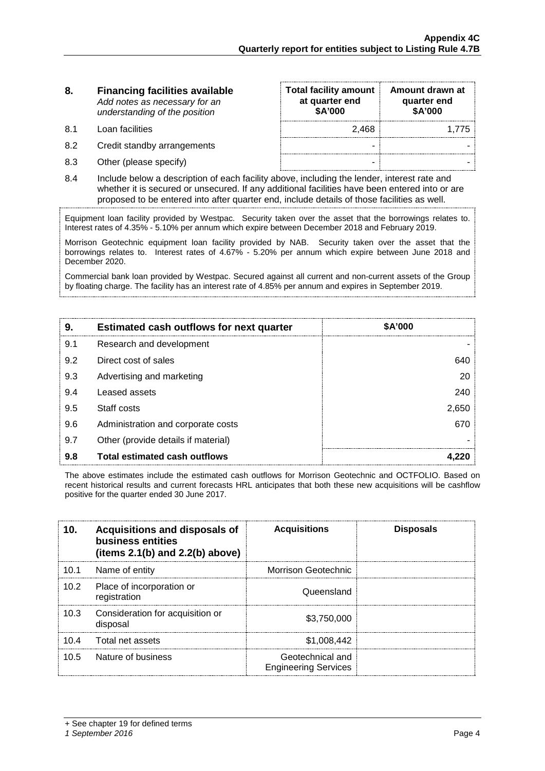#### **8. Financing facilities available** *Add notes as necessary for an understanding of the position*

- 8.1 Loan facilities
- 8.2 Credit standby arrangements
- 8.3 Other (please specify)

| <b>Total facility amount</b><br>at quarter end<br>\$A'000 | Amount drawn at<br>quarter end<br>\$A'000 |
|-----------------------------------------------------------|-------------------------------------------|
| 2,468                                                     | 1,775                                     |
|                                                           |                                           |
|                                                           |                                           |

8.4 Include below a description of each facility above, including the lender, interest rate and whether it is secured or unsecured. If any additional facilities have been entered into or are proposed to be entered into after quarter end, include details of those facilities as well.

Equipment loan facility provided by Westpac. Security taken over the asset that the borrowings relates to. Interest rates of 4.35% - 5.10% per annum which expire between December 2018 and February 2019.

Morrison Geotechnic equipment loan facility provided by NAB. Security taken over the asset that the borrowings relates to. Interest rates of 4.67% - 5.20% per annum which expire between June 2018 and December 2020.

Commercial bank loan provided by Westpac. Secured against all current and non-current assets of the Group by floating charge. The facility has an interest rate of 4.85% per annum and expires in September 2019.

| 9.  | <b>Estimated cash outflows for next quarter</b> | <b>SA'000</b> |
|-----|-------------------------------------------------|---------------|
| 9.1 | Research and development                        |               |
| 9.2 | Direct cost of sales                            | 640           |
| 9.3 | Advertising and marketing                       | 20            |
| 9.4 | Leased assets                                   | 240           |
| 9.5 | Staff costs                                     | 2,650         |
| 9.6 | Administration and corporate costs              | 670           |
| 9.7 | Other (provide details if material)             |               |
| 9.8 | <b>Total estimated cash outflows</b>            |               |

The above estimates include the estimated cash outflows for Morrison Geotechnic and OCTFOLIO. Based on recent historical results and current forecasts HRL anticipates that both these new acquisitions will be cashflow positive for the quarter ended 30 June 2017.

| 10.  | Acquisitions and disposals of<br>business entities<br>(items $2.1(b)$ and $2.2(b)$ above) | <b>Acquisitions</b>                             | <b>Disposals</b> |
|------|-------------------------------------------------------------------------------------------|-------------------------------------------------|------------------|
| 10.1 | Name of entity                                                                            | Morrison Geotechnic                             |                  |
| 10.2 | Place of incorporation or<br>registration                                                 | Queensland                                      |                  |
| 10.3 | Consideration for acquisition or<br>disposal                                              | \$3.750,000                                     |                  |
|      | 10.4 Total net assets                                                                     | \$1.008.442                                     |                  |
| 10.5 | Nature of business                                                                        | Geotechnical and<br><b>Engineering Services</b> |                  |